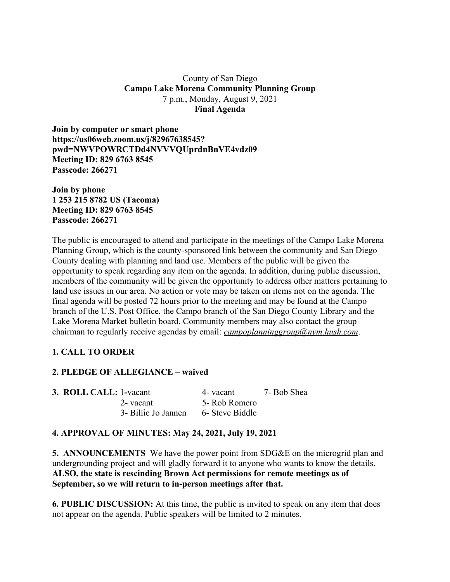### County of San Diego **Campo Lake Morena Community Planning Group** 7 p.m., Monday, August 9, 2021 **Final Agenda**

**Join by computer or smart phone https://us06web.zoom.us/j/82967638545? pwd=NWVPOWRCTDd4NVVVQUprdnBnVE4vdz09 Meeting ID: 829 6763 8545 Passcode: 266271**

**Join by phone 1 253 215 8782 US (Tacoma) Meeting ID: 829 6763 8545 Passcode: 266271**

The public is encouraged to attend and participate in the meetings of the Campo Lake Morena Planning Group, which is the county-sponsored link between the community and San Diego County dealing with planning and land use. Members of the public will be given the opportunity to speak regarding any item on the agenda. In addition, during public discussion, members of the community will be given the opportunity to address other matters pertaining to land use issues in our area. No action or vote may be taken on items not on the agenda. The final agenda will be posted 72 hours prior to the meeting and may be found at the Campo branch of the U.S. Post Office, the Campo branch of the San Diego County Library and the Lake Morena Market bulletin board. Community members may also contact the group chairman to regularly receive agendas by email: *campoplanninggroup@nym.hush.com*.

# **1. CALL TO ORDER**

# **2. PLEDGE OF ALLEGIANCE – waived**

| 3. ROLL CALL: 1-vacant |                     | 4- vacant       | 7- Bob Shea |
|------------------------|---------------------|-----------------|-------------|
|                        | 2-vacant            | 5- Rob Romero   |             |
|                        | 3- Billie Jo Jannen | 6- Steve Biddle |             |

# **4. APPROVAL OF MINUTES: May 24, 2021, July 19, 2021**

**5. ANNOUNCEMENTS** We have the power point from SDG&E on the microgrid plan and undergrounding project and will gladly forward it to anyone who wants to know the details. **ALSO, the state is rescinding Brown Act permissions for remote meetings as of September, so we will return to in-person meetings after that.**

**6. PUBLIC DISCUSSION:** At this time, the public is invited to speak on any item that does not appear on the agenda. Public speakers will be limited to 2 minutes.